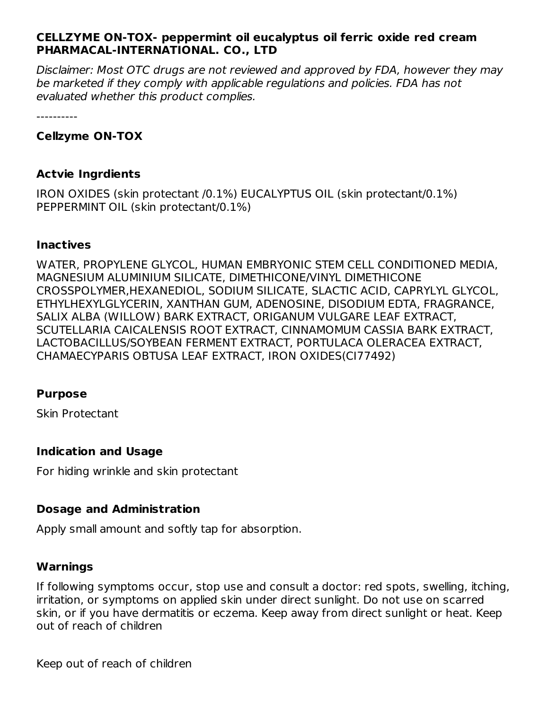## **CELLZYME ON-TOX- peppermint oil eucalyptus oil ferric oxide red cream PHARMACAL-INTERNATIONAL. CO., LTD**

Disclaimer: Most OTC drugs are not reviewed and approved by FDA, however they may be marketed if they comply with applicable regulations and policies. FDA has not evaluated whether this product complies.

----------

## **Cellzyme ON-TOX**

#### **Actvie Ingrdients**

IRON OXIDES (skin protectant /0.1%) EUCALYPTUS OIL (skin protectant/0.1%) PEPPERMINT OIL (skin protectant/0.1%)

#### **Inactives**

WATER, PROPYLENE GLYCOL, HUMAN EMBRYONIC STEM CELL CONDITIONED MEDIA, MAGNESIUM ALUMINIUM SILICATE, DIMETHICONE/VINYL DIMETHICONE CROSSPOLYMER,HEXANEDIOL, SODIUM SILICATE, SLACTIC ACID, CAPRYLYL GLYCOL, ETHYLHEXYLGLYCERIN, XANTHAN GUM, ADENOSINE, DISODIUM EDTA, FRAGRANCE, SALIX ALBA (WILLOW) BARK EXTRACT, ORIGANUM VULGARE LEAF EXTRACT, SCUTELLARIA CAICALENSIS ROOT EXTRACT, CINNAMOMUM CASSIA BARK EXTRACT, LACTOBACILLUS/SOYBEAN FERMENT EXTRACT, PORTULACA OLERACEA EXTRACT, CHAMAECYPARIS OBTUSA LEAF EXTRACT, IRON OXIDES(CI77492)

#### **Purpose**

Skin Protectant

## **Indication and Usage**

For hiding wrinkle and skin protectant

## **Dosage and Administration**

Apply small amount and softly tap for absorption.

## **Warnings**

If following symptoms occur, stop use and consult a doctor: red spots, swelling, itching, irritation, or symptoms on applied skin under direct sunlight. Do not use on scarred skin, or if you have dermatitis or eczema. Keep away from direct sunlight or heat. Keep out of reach of children

Keep out of reach of children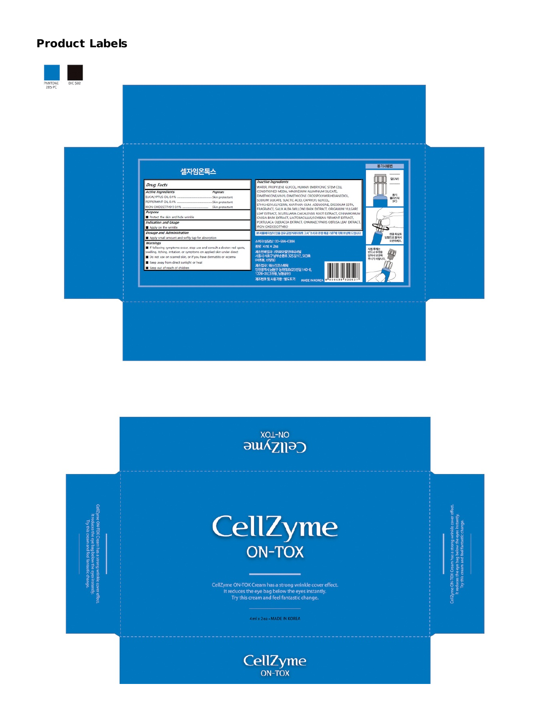## **Product Labels**





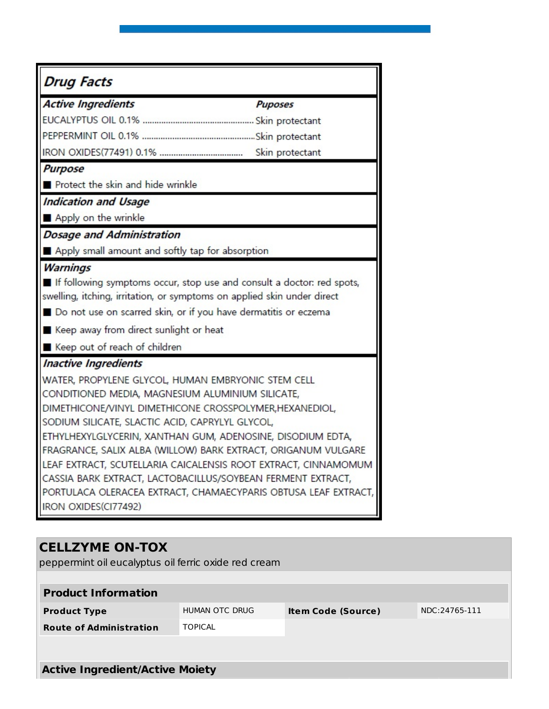| <b>Drug Facts</b>                                                       |  |  |  |  |
|-------------------------------------------------------------------------|--|--|--|--|
| <b>Active Ingredients</b><br><b>Puposes</b>                             |  |  |  |  |
|                                                                         |  |  |  |  |
|                                                                         |  |  |  |  |
|                                                                         |  |  |  |  |
| <b>Purpose</b>                                                          |  |  |  |  |
| Protect the skin and hide wrinkle                                       |  |  |  |  |
| <b>Indication and Usage</b>                                             |  |  |  |  |
| Apply on the wrinkle                                                    |  |  |  |  |
| <b>Dosage and Administration</b>                                        |  |  |  |  |
| Apply small amount and softly tap for absorption                        |  |  |  |  |
| <b>Warnings</b>                                                         |  |  |  |  |
| If following symptoms occur, stop use and consult a doctor: red spots,  |  |  |  |  |
| swelling, itching, irritation, or symptoms on applied skin under direct |  |  |  |  |
| ■ Do not use on scarred skin, or if you have dermatitis or eczema       |  |  |  |  |
| ■ Keep away from direct sunlight or heat                                |  |  |  |  |
| Keep out of reach of children                                           |  |  |  |  |
| <b>Inactive Ingredients</b>                                             |  |  |  |  |
| WATER, PROPYLENE GLYCOL, HUMAN EMBRYONIC STEM CELL                      |  |  |  |  |
| CONDITIONED MEDIA, MAGNESIUM ALUMINIUM SILICATE,                        |  |  |  |  |
| DIMETHICONE/VINYL DIMETHICONE CROSSPOLYMER, HEXANEDIOL,                 |  |  |  |  |
| SODIUM SILICATE, SLACTIC ACID, CAPRYLYL GLYCOL,                         |  |  |  |  |
| ETHYLHEXYLGLYCERIN, XANTHAN GUM, ADENOSINE, DISODIUM EDTA,              |  |  |  |  |
| FRAGRANCE, SALIX ALBA (WILLOW) BARK EXTRACT, ORIGANUM VULGARE           |  |  |  |  |
| LEAF EXTRACT, SCUTELLARIA CAICALENSIS ROOT EXTRACT, CINNAMOMUM          |  |  |  |  |
| CASSIA BARK EXTRACT, LACTOBACILLUS/SOYBEAN FERMENT EXTRACT,             |  |  |  |  |
| PORTULACA OLERACEA EXTRACT, CHAMAECYPARIS OBTUSA LEAF EXTRACT,          |  |  |  |  |
| IRON OXIDES(CI77492)                                                    |  |  |  |  |

# **CELLZYME ON-TOX** peppermint oil eucalyptus oil ferric oxide red cream **Product Information Product Type INDUMAN OTC DRUG Item Code (Source)** NDC:24765-111 **Route of Administration** TOPICAL **Active Ingredient/Active Moiety**